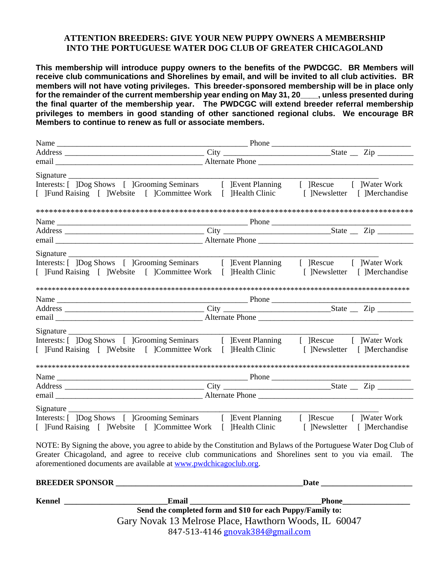## **ATTENTION BREEDERS: GIVE YOUR NEW PUPPY OWNERS A MEMBERSHIP INTO THE PORTUGUESE WATER DOG CLUB OF GREATER CHICAGOLAND**

**This membership will introduce puppy owners to the benefits of the PWDCGC. BR Members will receive club communications and Shorelines by email, and will be invited to all club activities. BR members will not have voting privileges. This breeder-sponsored membership will be in place only for the remainder of the current membership year ending on May 31, 20\_\_\_\_, unless presented during the final quarter of the membership year. The PWDCGC will extend breeder referral membership privileges to members in good standing of other sanctioned regional clubs. We encourage BR Members to continue to renew as full or associate members.** 

| Name Phone Phone State Zip                                                                                                                                                                                                                                                                        |  |  |  |
|---------------------------------------------------------------------------------------------------------------------------------------------------------------------------------------------------------------------------------------------------------------------------------------------------|--|--|--|
|                                                                                                                                                                                                                                                                                                   |  |  |  |
|                                                                                                                                                                                                                                                                                                   |  |  |  |
| Interests: [ ]Dog Shows [ ]Grooming Seminars [ ]Event Planning [ ]Rescue [ ]Water Work<br>[ ]Fund Raising [ ]Website [ ]Committee Work [ ]Health Clinic [ ]Newsletter [ ]Merchandise                                                                                                              |  |  |  |
|                                                                                                                                                                                                                                                                                                   |  |  |  |
|                                                                                                                                                                                                                                                                                                   |  |  |  |
|                                                                                                                                                                                                                                                                                                   |  |  |  |
|                                                                                                                                                                                                                                                                                                   |  |  |  |
|                                                                                                                                                                                                                                                                                                   |  |  |  |
| Signature<br>Interests: [ ]Dog Shows [ ]Grooming Seminars [ ]Event Planning [ ]Rescue [ ]Water Work<br>[ ]Fund Raising [ ]Website [ ]Committee Work [ ]Health Clinic [ ]Newsletter [ ]Merchandise                                                                                                 |  |  |  |
|                                                                                                                                                                                                                                                                                                   |  |  |  |
|                                                                                                                                                                                                                                                                                                   |  |  |  |
|                                                                                                                                                                                                                                                                                                   |  |  |  |
|                                                                                                                                                                                                                                                                                                   |  |  |  |
|                                                                                                                                                                                                                                                                                                   |  |  |  |
| Signature<br>Interests: [ ]Dog Shows [ ]Grooming Seminars [ ]Event Planning [ ]Rescue [ ]Water Work<br>[ ] Fund Raising [ ] Website [ ] Committee Work [ ] Health Clinic [ ] Newsletter [ ] Merchandise                                                                                           |  |  |  |
|                                                                                                                                                                                                                                                                                                   |  |  |  |
|                                                                                                                                                                                                                                                                                                   |  |  |  |
|                                                                                                                                                                                                                                                                                                   |  |  |  |
|                                                                                                                                                                                                                                                                                                   |  |  |  |
|                                                                                                                                                                                                                                                                                                   |  |  |  |
| Signature<br>Interests: [ ]Dog Shows [ ]Grooming Seminars [ ]Event Planning [ ]Rescue [ ]Water Work<br>[ ]Fund Raising [ ]Website [ ]Committee Work [ ]Health Clinic [ ]Newsletter [ ]Merchandise                                                                                                 |  |  |  |
| NOTE: By Signing the above, you agree to abide by the Constitution and Bylaws of the Portuguese Water Dog Club of<br>Greater Chicagoland, and agree to receive club communications and Shorelines sent to you via email. The<br>aforementioned documents are available at www.pwdchicagoclub.org. |  |  |  |

| <b>BREEDER SPONSOR</b> | <b>Date</b>                                                |              |  |
|------------------------|------------------------------------------------------------|--------------|--|
| Kennel                 | Email                                                      | <b>Phone</b> |  |
|                        | Send the completed form and \$10 for each Puppy/Family to: |              |  |
|                        | Gary Novak 13 Melrose Place, Hawthorn Woods, IL 60047      |              |  |
|                        | 847-513-4146 gnovak384@gmail.com                           |              |  |